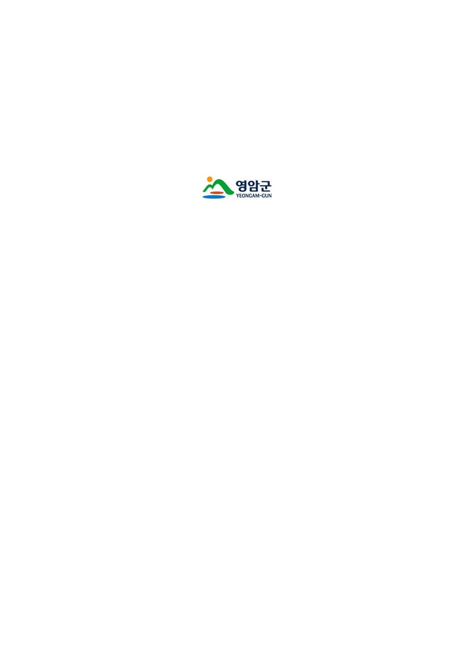